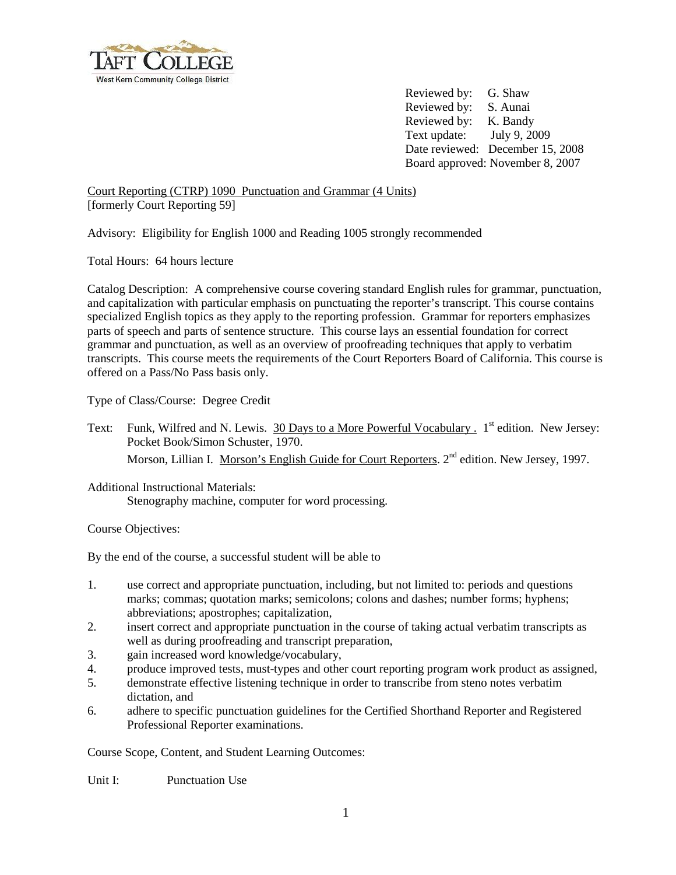

Reviewed by: G. Shaw Reviewed by: S. Aunai Reviewed by: K. Bandy Text update: July 9, 2009 Date reviewed: December 15, 2008 Board approved: November 8, 2007

Court Reporting (CTRP) 1090 Punctuation and Grammar (4 Units) [formerly Court Reporting 59]

Advisory: Eligibility for English 1000 and Reading 1005 strongly recommended

Total Hours: 64 hours lecture

Catalog Description: A comprehensive course covering standard English rules for grammar, punctuation, and capitalization with particular emphasis on punctuating the reporter's transcript. This course contains specialized English topics as they apply to the reporting profession. Grammar for reporters emphasizes parts of speech and parts of sentence structure. This course lays an essential foundation for correct grammar and punctuation, as well as an overview of proofreading techniques that apply to verbatim transcripts. This course meets the requirements of the Court Reporters Board of California. This course is offered on a Pass/No Pass basis only.

Type of Class/Course: Degree Credit

Text: Funk, Wilfred and N. Lewis. 30 Days to a More Powerful Vocabulary . 1<sup>st</sup> edition. New Jersey: Pocket Book/Simon Schuster, 1970. Morson, Lillian I. Morson's English Guide for Court Reporters. 2<sup>nd</sup> edition. New Jersey, 1997.

Additional Instructional Materials: Stenography machine, computer for word processing.

Course Objectives:

By the end of the course, a successful student will be able to

- 1. use correct and appropriate punctuation, including, but not limited to: periods and questions marks; commas; quotation marks; semicolons; colons and dashes; number forms; hyphens; abbreviations; apostrophes; capitalization,
- 2. insert correct and appropriate punctuation in the course of taking actual verbatim transcripts as well as during proofreading and transcript preparation,
- 3. gain increased word knowledge/vocabulary,
- 4. produce improved tests, must-types and other court reporting program work product as assigned,
- 5. demonstrate effective listening technique in order to transcribe from steno notes verbatim dictation, and
- 6. adhere to specific punctuation guidelines for the Certified Shorthand Reporter and Registered Professional Reporter examinations.

Course Scope, Content, and Student Learning Outcomes:

Unit I: Punctuation Use